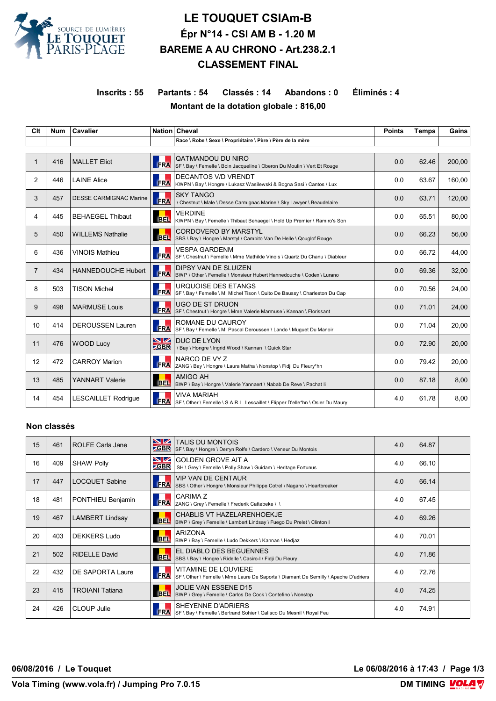

# **LE TOUQUET CSIAm-B Épr N°14 - CSI AM B - 1.20 M BAREME A AU CHRONO - Art.238.2.1 CLASSEMENT FINAL**

## **Inscrits : 55 Partants : 54 Classés : 14 Abandons : 0 Éliminés : 4 Montant de la dotation globale : 816,00**

| Clt            | <b>Num</b> | Cavalier                      |                   | Nation Cheval                                                                                            | <b>Points</b> | <b>Temps</b> | Gains  |
|----------------|------------|-------------------------------|-------------------|----------------------------------------------------------------------------------------------------------|---------------|--------------|--------|
|                |            |                               |                   | Race \ Robe \ Sexe \ Propriétaire \ Père \ Père de la mère                                               |               |              |        |
|                | 416        | <b>MALLET Eliot</b>           | FRA               | QATMANDOU DU NIRO<br>SF \ Bay \ Femelle \ Boin Jacqueline \ Oberon Du Moulin \ Vert Et Rouge             | 0.0           | 62.46        | 200,00 |
| 2              | 446        | <b>LAINE Alice</b>            | <b>FRA</b>        | <b>DECANTOS V/D VRENDT</b><br>KWPN \ Bay \ Hongre \ Lukasz Wasilewski & Bogna Sasi \ Cantos \ Lux        | 0.0           | 63.67        | 160,00 |
| 3              | 457        | <b>DESSE CARMIGNAC Marine</b> | <b>FRA</b>        | <b>SKY TANGO</b><br>\ Chestnut \ Male \ Desse Carmignac Marine \ Sky Lawyer \ Beaudelaire                | 0.0           | 63.71        | 120,00 |
| 4              | 445        | <b>BEHAEGEL Thibaut</b>       | BEL.              | <b>VERDINE</b><br>KWPN \ Bay \ Femelle \ Thibaut Behaegel \ Hold Up Premier \ Ramiro's Son               | 0.0           | 65.51        | 80,00  |
| 5              | 450        | <b>WILLEMS Nathalie</b>       | <b>BEL</b>        | <b>CORDOVERO BY MARSTYL</b><br>SBS \ Bay \ Hongre \ Marstyl \ Cambito Van De Helle \ Qouglof Rouge       | 0.0           | 66.23        | 56,00  |
| 6              | 436        | <b>VINOIS Mathieu</b>         | <b>FRA</b>        | <b>VESPA GARDENM</b><br>│SF ∖ Chestnut ∖ Femelle ∖ Mme Mathilde Vinois ∖ Quartz Du Chanu ∖ Diableur      | 0.0           | 66.72        | 44.00  |
| $\overline{7}$ | 434        | <b>HANNEDOUCHE Hubert</b>     | <b>FRA</b>        | <b>DIPSY VAN DE SLUIZEN</b><br>BWP \ Other \ Femelle \ Monsieur Hubert Hannedouche \ Codex \ Lurano      | 0.0           | 69.36        | 32,00  |
| 8              | 503        | <b>TISON Michel</b>           | <b>FRA</b>        | <b>URQUOISE DES ETANGS</b><br>SF \ Bay \ Femelle \ M. Michel Tison \ Quito De Baussy \ Charleston Du Cap | 0.0           | 70.56        | 24,00  |
| 9              | 498        | <b>MARMUSE Louis</b>          | <b>FRA</b>        | UGO DE ST DRUON<br>SF \ Chestnut \ Hongre \ Mme Valerie Marmuse \ Kannan \ Florissant                    | 0.0           | 71.01        | 24,00  |
| 10             | 414        | <b>DEROUSSEN Lauren</b>       | <b>FRA</b>        | ROMANE DU CAUROY<br>SF \ Bay \ Femelle \ M. Pascal Deroussen \ Lando \ Muquet Du Manoir                  | 0.0           | 71.04        | 20.00  |
| 11             | 476        | <b>WOOD Lucy</b>              | NZ<br><b>ZGBR</b> | DUC DE LYON<br>\ Bay \ Hongre \ Ingrid Wood \ Kannan \ Quick Star                                        | 0.0           | 72.90        | 20,00  |
| 12             | 472        | <b>CARROY Marion</b>          | <b>FRA</b>        | NARCO DE VY Z<br>ZANG \ Bay \ Hongre \ Laura Matha \ Nonstop \ Fidji Du Fleury*hn                        | 0.0           | 79.42        | 20,00  |
| 13             | 485        | <b>YANNART Valerie</b>        | <b>BEL</b>        | AMIGO AH<br>BWP \ Bay \ Hongre \ Valerie Yannaert \ Nabab De Reve \ Pachat li                            | 0.0           | 87.18        | 8,00   |
| 14             | 454        | <b>LESCAILLET Rodrique</b>    | <b>FRA</b>        | <b>VIVA MARIAH</b><br>SF \ Other \ Femelle \ S.A.R.L. Lescaillet \ Flipper D'elle*hn \ Osier Du Maury    | 4.0           | 61.78        | 8,00   |

#### **Non classés**

| 15 | 461 | <b>ROLFE Carla Jane</b> | <b>NZ</b><br>$\overline{\phantom{a}}$ GBR | <b>TALIS DU MONTOIS</b><br>SF \ Bay \ Hongre \ Derryn Rolfe \ Cardero \ Veneur Du Montois                   | 4.0 | 64.87 |  |
|----|-----|-------------------------|-------------------------------------------|-------------------------------------------------------------------------------------------------------------|-----|-------|--|
| 16 | 409 | <b>SHAW Polly</b>       | <u>NZ</u>                                 | <b>GOLDEN GROVE AIT A</b><br><b>CBR</b> ISH \ Grey \ Femelle \ Polly Shaw \ Guidam \ Heritage Fortunus      | 4.0 | 66.10 |  |
| 17 | 447 | <b>LOCQUET Sabine</b>   |                                           | <b>VIP VAN DE CENTAUR</b><br>FRA SBS \ Other \ Hongre \ Monsieur Philippe Cotrel \ Nagano \ Heartbreaker    | 4.0 | 66.14 |  |
| 18 | 481 | PONTHIEU Benjamin       | <b>ERA</b>                                | CARIMA Z<br>ZANG \ Grey \ Femelle \ Frederik Cattebeke \ \                                                  | 4.0 | 67.45 |  |
| 19 | 467 | <b>LAMBERT Lindsay</b>  |                                           | CHABLIS VT HAZELARENHOEKJE<br>BEL  BWP \ Grey \ Femelle \ Lambert Lindsay \ Fuego Du Prelet \ Clinton I     | 4.0 | 69.26 |  |
| 20 | 403 | <b>DEKKERS Ludo</b>     | <b>BEL</b>                                | <b>ARIZONA</b><br>BWP \ Bay \ Femelle \ Ludo Dekkers \ Kannan \ Hedjaz                                      | 4.0 | 70.01 |  |
| 21 | 502 | <b>RIDELLE David</b>    | <b>BEL</b>                                | EL DIABLO DES BEGUENNES<br>SBS \ Bay \ Hongre \ Ridelle \ Casiro-I \ Fidji Du Fleury                        | 4.0 | 71.86 |  |
| 22 | 432 | DE SAPORTA Laure        | <b>FRA</b>                                | VITAMINE DE LOUVIERE<br>SF \ Other \ Femelle \ Mme Laure De Saporta \ Diamant De Semilly \ Apache D'adriers | 4.0 | 72.76 |  |
| 23 | 415 | <b>TROIANI Tatiana</b>  |                                           | <b>JOLIE VAN ESSENE D15</b><br>BEL BWP \ Grey \ Femelle \ Carlos De Cock \ Contefino \ Nonstop              | 4.0 | 74.25 |  |
| 24 | 426 | CLOUP Julie             | <b>FRA</b>                                | SHEYENNE D'ADRIERS<br>SF \ Bay \ Femelle \ Bertrand Sohier \ Galisco Du Mesnil \ Royal Feu                  | 4.0 | 74.91 |  |

**06/08/2016 / Le Touquet Le 06/08/2016 à 17:43 / Page 1/3**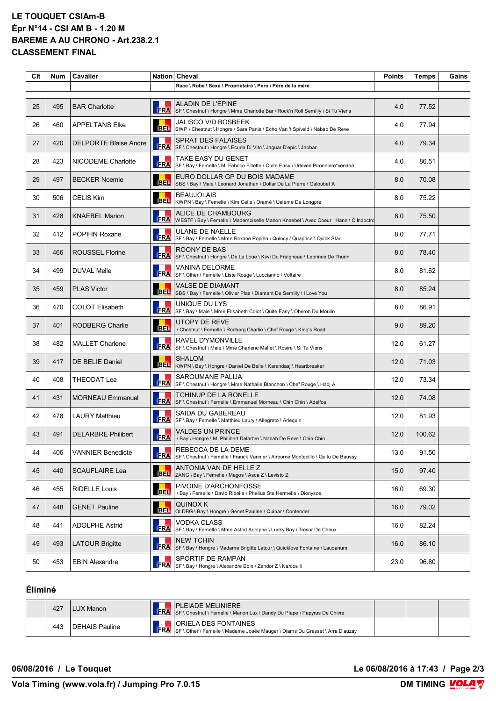### **LE TOUQUET CSIAm-B Épr N°14 - CSI AM B - 1.20 M BAREME A AU CHRONO - Art.238.2.1 CLASSEMENT FINAL**

| Clt | <b>Num</b> | <b>Cavalier</b>              |            | Nation Cheval                                                                                            | <b>Points</b> | <b>Temps</b> | Gains |
|-----|------------|------------------------------|------------|----------------------------------------------------------------------------------------------------------|---------------|--------------|-------|
|     |            |                              |            | Race \ Robe \ Sexe \ Propriétaire \ Père \ Père de la mère                                               |               |              |       |
| 25  | 495        | <b>BAR Charlotte</b>         | FRA        | ALADIN DE L'EPINE<br>SF \ Chestnut \ Hongre \ Mme Charlotte Bar \ Rock'n Roll Semilly \ Si Tu Viens      | 4.0           | 77.52        |       |
| 26  | 460        | <b>APPELTANS Elke</b>        | <b>BEL</b> | <b>JALISCO V/D BOSBEEK</b><br>BWP \ Chestnut \ Hongre \ Sara Panis \ Echo Van 't Spiveld \ Nabab De Reve | 4.0           | 77.94        |       |
| 27  | 420        | <b>DELPORTE Blaise Andre</b> | <b>FRA</b> | <b>SPRAT DES FALAISES</b><br>SF \ Chestnut \ Hongre \ Ecurie Di Vito \ Jaguar D'epic \ Jabbar            | 4.0           | 79.34        |       |
| 28  | 423        | NICODEME Charlotte           | <b>FRA</b> | TAKE EASY DU GENET<br>SF \ Bay \ Femelle \ M. Fabrice Fillette \ Quite Easy \ Urleven Pironniere*vendee  | 4.0           | 86.51        |       |
| 29  | 497        | <b>BECKER Noemie</b>         | <b>BEL</b> | EURO DOLLAR GP DU BOIS MADAME<br>SBS \ Bay \ Male \ Leonard Jonathan \ Dollar De La Pierre \ Galoubet A  | 8.0           | 70.08        |       |
| 30  | 506        | <b>CELIS Kim</b>             | <b>BEL</b> | <b>BEAUJOLAIS</b><br>KWPN \ Bay \ Femelle \ Kim Celis \ Oramé \ Ueleme De Longpre                        | 8.0           | 75.22        |       |
| 31  | 428        | <b>KNAEBEL Marion</b>        | <b>FRA</b> | ALICE DE CHAMBOURG<br>WESTF \ Bay \ Femelle \ Mademoiselle Marion Knaebel \ Avec Coeur Hann \ C Indoctro | 8.0           | 75.50        |       |
| 32  | 412        | POPIHN Roxane                | <b>FRA</b> | <b>ULANE DE NAELLE</b><br>SF \ Bay \ Femelle \ Mme Roxane Popihn \ Quincy / Quaprice \ Quick Star        | 8.0           | 77.71        |       |
| 33  | 466        | <b>ROUSSEL Florine</b>       | <b>FRA</b> | ROONY DE BAS<br>SF \ Chestnut \ Hongre \ De La Loue \ Kiwi Du Fraigneau \ Leprince De Thurin             | 8.0           | 78.40        |       |
| 34  | 499        | <b>DUVAL Melle</b>           | <b>FRA</b> | <b>VANINA DELORME</b><br>SF \ Other \ Femelle \ Liste Rouge \ Luccianno \ Voltaire                       | 8.0           | 81.62        |       |
| 35  | 459        | <b>PLAS Victor</b>           | <b>BEL</b> | VALSE DE DIAMANT<br>SBS \ Bay \ Femelle \ Olivier Plas \ Diamant De Semilly \ I Love You                 | 8.0           | 85.24        |       |
| 36  | 470        | <b>COLOT Elisabeth</b>       | <b>FRA</b> | UNIQUE DU LYS<br>SF \ Bay \ Male \ Mme Elisabeth Colot \ Quite Easy \ Oberon Du Moulin                   | 8.0           | 86.91        |       |
| 37  | 401        | <b>RODBERG Charlie</b>       | <b>BEL</b> | UTOPY DE REVE<br>\ Chestnut \ Femelle \ Rodberg Charlie \ Chef Rouge \ King's Road                       | 9.0           | 89.20        |       |
| 38  | 482        | <b>MALLET Charlene</b>       | <b>FRA</b> | RAVEL D'YMONVILLE<br>SF \ Chestnut \ Male \ Mme Charlene Mallet \ Rosire \ Si Tu Viens                   | 12.0          | 61.27        |       |
| 39  | 417        | <b>DE BELIE Daniel</b>       | <b>BEL</b> | <b>SHALOM</b><br>KWPN \ Bay \ Hongre \ Daniel De Belie \ Karandasj \ Heartbreaker                        | 12.0          | 71.03        |       |
| 40  | 408        | THEODAT Lea                  | <b>FRA</b> | SAROUMANE PALIJA<br>SF \ Chestnut \ Hongre \ Mme Nathalie Blanchon \ Chef Rouge \ Hadj A                 | 12.0          | 73.34        |       |
| 41  | 431        | <b>MORNEAU Emmanuel</b>      | <b>FRA</b> | TCHINUP DE LA RONELLE<br>SF \ Chestnut \ Femelle \ Emmanuel Morneau \ Chin Chin \ Adelfos                | 12.0          | 74.08        |       |
| 42  | 478        | <b>LAURY Matthieu</b>        | <b>FRA</b> | SAIDA DU GABEREAU<br>SF \ Bay \ Femelle \ Matthieu Laury \ Allegreto \ Arlequin                          | 12.0          | 81.93        |       |
| 43  | 491        | <b>DELARBRE Philibert</b>    |            | <b>VALDES UN PRINCE</b><br>FRA \ \ Bay \ Hongre \ M. Philibert Delarbre \ Nabab De Reve \ Chin Chin      | 12.0          | 100.62       |       |
| 44  | 406        | <b>VANNIER Benedicte</b>     | <b>FRA</b> | REBECCA DE LA DEME<br>SF \ Chestnut \ Femelle \ Franck Vannier \ Airborne Montecillo \ Quito De Baussy   | 13.0          | 91.50        |       |
| 45  | 440        | SCAUFLAIRE Lea               | <b>BEL</b> | ANTONIA VAN DE HELLE Z<br>ZANG \ Bay \ Femelle \ Magos \ Asca Z \ Levisto Z                              | 15.0          | 97.40        |       |
| 46  | 455        | <b>RIDELLE Louis</b>         | <b>BEL</b> | PIVOINE D'ARCHONFOSSE<br>\ Bay \ Femelle \ David Ridelle \ Phelius Ste Hermelle \ Dionysos               | 16.0          | 69.30        |       |
| 47  | 448        | <b>GENET Pauline</b>         | <b>BEL</b> | QUINOX K<br>OLDBG \ Bay \ Hongre \ Genet Pauline \ Quinar \ Contender                                    | 16.0          | 79.02        |       |
| 48  | 441        | ADOLPHE Astrid               | <b>FRA</b> | VODKA CLASS<br>SF \ Bay \ Femelle \ Mme Astrid Adolphe \ Lucky Boy \ Tresor De Cheux                     | 16.0          | 82.24        |       |
| 49  | 493        | <b>LATOUR Brigitte</b>       |            | <b>NEW TCHIN</b><br>FRA SF \ Bay \ Hongre \ Madame Brigitte Latour \ Quicklove Fontaine \ Laudanum       | 16.0          | 86.10        |       |
| 50  | 453        | <b>EBIN Alexandre</b>        | <b>FRA</b> | SPORTIF DE RAMPAN<br>SF \ Bay \ Hongre \ Alexandre Ebin \ Zandor Z \ Narcos li                           | 23.0          | 96.80        |       |

# **Éliminé**

| 427 | LUX Manon      | <b>PLEIADE MELINIERE</b><br><b>FRA</b> SF \ Chestnut \ Femelle \ Manon Lux \ Dandy Du Plape \ Papyrus De Chivre |  |  |
|-----|----------------|-----------------------------------------------------------------------------------------------------------------|--|--|
| 443 | DEHAIS Pauline | ORIELA DES FONTAINES<br>FRA SF \ Other \ Femelle \ Madame Josée Mauger \ Diams Du Grasset \ Arra D'auzay        |  |  |

**06/08/2016 / Le Touquet Le 06/08/2016 à 17:43 / Page 2/3**